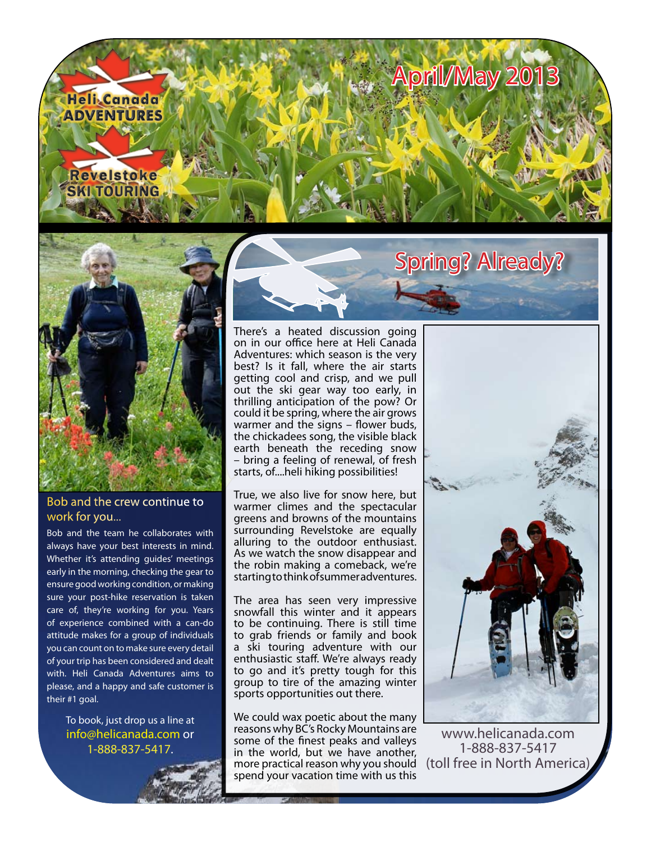



## Bob and the crew continue to work for you...

Bob and the team he collaborates with always have your best interests in mind. Whether it's attending guides' meetings early in the morning, checking the gear to ensure good working condition, or making sure your post-hike reservation is taken care of, they're working for you. Years of experience combined with a can-do attitude makes for a group of individuals you can count on to make sure every detail of your trip has been considered and dealt with. Heli Canada Adventures aims to please, and a happy and safe customer is their #1 goal.

To book, just drop us a line at [info@helicanada.com](mailto:info@helicanada.com) or 1-888-837-5417.

There's a heated discussion going on in our office here at Heli Canada Adventures: which season is the very best? Is it fall, where the air starts getting cool and crisp, and we pull out the ski gear way too early, in thrilling anticipation of the pow? Or could it be spring, where the air grows warmer and the signs – flower buds, the chickadees song, the visible black earth beneath the receding snow – bring a feeling of renewal, of fresh starts, of....heli hiking possibilities!

True, we also live for snow here, but warmer climes and the spectacular greens and browns of the mountains surrounding Revelstoke are equally alluring to the outdoor enthusiast. As we watch the snow disappear and the robin making a comeback, we're starting to think of summer adventures.

The area has seen very impressive snowfall this winter and it appears to be continuing. There is still time to grab friends or family and book a ski touring adventure with our enthusiastic staff. We're always ready to go and it's pretty tough for this group to tire of the amazing winter sports opportunities out there.

We could wax poetic about the many reasons why BC's Rocky Mountains are some of the finest peaks and valleys in the world, but we have another, more practical reason why you should spend your vacation time with us this



Spring? Already?

[www.helicanada.com](http://www.helicanada.com) 1-888-837-5417 (toll free in North America)